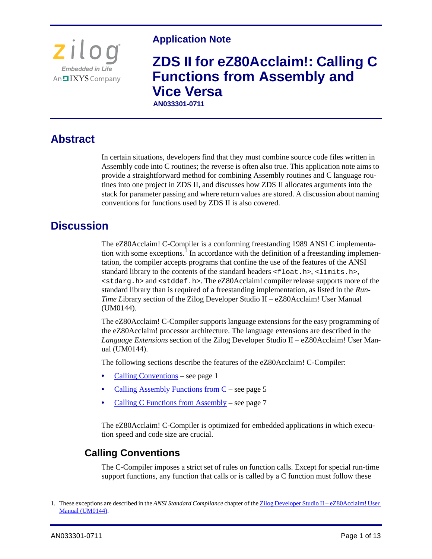

### **Application Note**

# **ZDS II for eZ80Acclaim!: Calling C Functions from Assembly and Vice Versa**

**AN033301-0711** 

# **Abstract**

In certain situations, developers find that they must combine source code files written in Assembly code into C routines; the reverse is often also true. This application note aims to provide a straightforward method for combining Assembly routines and C language routines into one project in ZDS II, and discusses how ZDS II allocates arguments into the stack for parameter passing and where return values are stored. A discussion about naming conventions for functions used by ZDS II is also covered.

# **Discussion**

The eZ80Acclaim! C-Compiler is a conforming freestanding 1989 ANSI C implementation with some exceptions.<sup>1</sup> In accordance with the definition of a freestanding implementation, the compiler accepts programs that confine the use of the features of the ANSI standard library to the contents of the standard headers <float.h>, <limits.h>, <stdarg.h> and <stddef.h>. The eZ80Acclaim! compiler release supports more of the standard library than is required of a freestanding implementation, as listed in the *Run-Time Library section of the Zilog Developer Studio II – eZ80Acclaim! User Manual* (UM0144).

The eZ80Acclaim! C-Compiler supports language extensions for the easy programming of the eZ80Acclaim! processor architecture. The language extensions are described in the *Language Extensions* section of the Zilog Developer Studio II – eZ80Acclaim! User Manual (UM0144).

The following sections describe the features of the eZ80Acclaim! C-Compiler:

- [Calling Conventions see page 1](#page-0-0)
- **•** [Calling Assembly Functions from C see page 5](#page-4-0)
- **<u>Calling C Functions from Assembly</u>** see page 7

The eZ80Acclaim! C-Compiler is optimized for embedded applications in which execution speed and code size are crucial.

### <span id="page-0-0"></span>**Calling Conventions**

The C-Compiler imposes a strict set of rules on function calls. Except for special run-time support functions, any function that calls or is called by a C function must follow these

<sup>1.</sup> These exceptions are described in the *ANSI Standard Compliance* chapter of the **Zilog Developer Studio II** – eZ80Acclaim! User [Manual \(UM0144\)](http://www.zilog.com/docs/devtools/um0144.pdf).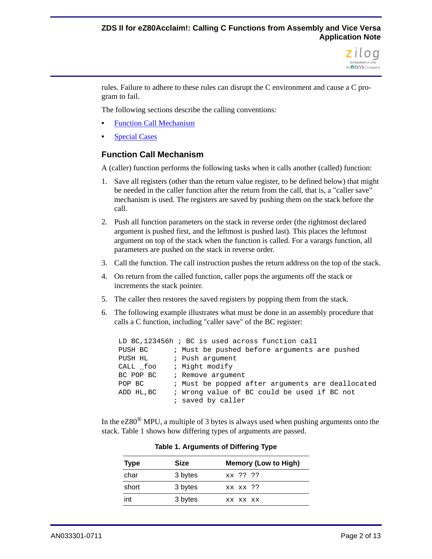

rules. Failure to adhere to these rules can disrupt the C environment and cause a C program to fail.

The following sections describe the calling conventions:

- **•** [Function Call Mechanism](#page-1-0)
- **•** [Special Cases](#page-3-0)

#### <span id="page-1-0"></span>**Function Call Mechanism**

A (caller) function performs the following tasks when it calls another (called) function:

- 1. Save all registers (other than the return value register, to be defined below) that might be needed in the caller function after the return from the call, that is, a "caller save" mechanism is used. The registers are saved by pushing them on the stack before the call.
- 2. Push all function parameters on the stack in reverse order (the rightmost declared argument is pushed first, and the leftmost is pushed last). This places the leftmost argument on top of the stack when the function is called. For a varargs function, all parameters are pushed on the stack in reverse order.
- 3. Call the function. The call instruction pushes the return address on the top of the stack.
- 4. On return from the called function, caller pops the arguments off the stack or increments the stack pointer.
- 5. The caller then restores the saved registers by popping them from the stack.
- 6. The following example illustrates what must be done in an assembly procedure that calls a C function, including "caller save" of the BC register:

| LD BC, 123456h; BC is used across function call |  |                                                  |  |  |  |  |
|-------------------------------------------------|--|--------------------------------------------------|--|--|--|--|
| PUSH BC                                         |  | ; Must be pushed before arguments are pushed     |  |  |  |  |
| PUSH HL                                         |  | ; Push arqument                                  |  |  |  |  |
| CALL foo                                        |  | ; Might modify                                   |  |  |  |  |
| BC POP BC                                       |  | ; Remove argument                                |  |  |  |  |
| POP BC                                          |  | ; Must be popped after arguments are deallocated |  |  |  |  |
| ADD HL, BC                                      |  | ; Wrong value of BC could be used if BC not      |  |  |  |  |
|                                                 |  | ; saved by caller                                |  |  |  |  |

<span id="page-1-1"></span>In the  $eZ80^{\circledR}$  MPU, a multiple of 3 bytes is always used when pushing arguments onto the stack. [Table 1](#page-1-1) shows how differing types of arguments are passed.

| <b>Type</b> | Size    | <b>Memory (Low to High)</b> |  |  |
|-------------|---------|-----------------------------|--|--|
| char        | 3 bytes | xx ?? ??                    |  |  |
| short       | 3 bytes | xx xx ??                    |  |  |
| int         | 3 bytes | XX XX XX                    |  |  |

**Table 1. Arguments of Differing Type**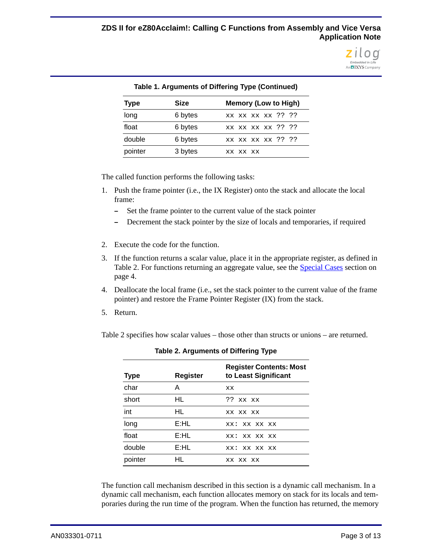

| Table 1. Arguments of Differing Type (Continued) |             |                             |  |  |  |
|--------------------------------------------------|-------------|-----------------------------|--|--|--|
| <b>Type</b>                                      | <b>Size</b> | <b>Memory (Low to High)</b> |  |  |  |
| long                                             | 6 bytes     | xx xx xx xx ?? ??           |  |  |  |
| float                                            | 6 bytes     | XX XX XX XX ?? ??           |  |  |  |
| double                                           | 6 bytes     | xx xx xx xx ?? ??           |  |  |  |
| pointer                                          | 3 bytes     | XX XX XX                    |  |  |  |

#### **Table 1. Arguments of Differing Type (Continued)**

The called function performs the following tasks:

- 1. Push the frame pointer (i.e., the IX Register) onto the stack and allocate the local frame:
	- **–** Set the frame pointer to the current value of the stack pointer
	- **–** Decrement the stack pointer by the size of locals and temporaries, if required
- 2. Execute the code for the function.
- 3. If the function returns a scalar value, place it in the appropriate register, as defined in [Table 2](#page-2-0). For functions returning an aggregate value, see the **Special Cases** section on [page 4.](#page-3-0)
- 4. Deallocate the local frame (i.e., set the stack pointer to the current value of the frame pointer) and restore the Frame Pointer Register (IX) from the stack.
- 5. Return.

<span id="page-2-0"></span>[Table 2](#page-2-0) specifies how scalar values – those other than structs or unions – are returned.

| Register<br><b>Type</b> |      | <b>Register Contents: Most</b><br>to Least Significant |  |  |
|-------------------------|------|--------------------------------------------------------|--|--|
| char                    | A    | xх                                                     |  |  |
| short                   | HL   | $??$ xx xx                                             |  |  |
| int                     | HL   | XX XX XX                                               |  |  |
| long                    | E:HL | xx: xx xx xx                                           |  |  |
| float                   | E:HL | xx: xx xx xx                                           |  |  |
| double                  | E:HL | xx: xx xx xx                                           |  |  |
| pointer                 | HL   | XX XX XX                                               |  |  |

|  | Table 2. Arguments of Differing Type |  |  |  |
|--|--------------------------------------|--|--|--|
|--|--------------------------------------|--|--|--|

The function call mechanism described in this section is a dynamic call mechanism. In a dynamic call mechanism, each function allocates memory on stack for its locals and temporaries during the run time of the program. When the function has returned, the memory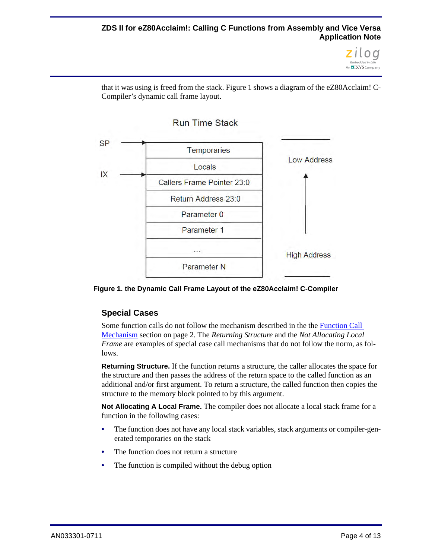#### **ZDS II for eZ80Acclaim!: Calling C Functions from Assembly and Vice Versa Application Note**



that it was using is freed from the stack. [Figure 1](#page-3-1) shows a diagram of the eZ80Acclaim! C-Compiler's dynamic call frame layout.



<span id="page-3-1"></span><span id="page-3-0"></span>**Figure 1. the Dynamic Call Frame Layout of the eZ80Acclaim! C-Compiler**

#### **Special Cases**

Some function calls do not follow the mechanism described in the [the Function Call](#page-1-0)  [Mechanism section on page 2.](#page-1-0) The *Returning Structure* and the *Not Allocating Local Frame* are examples of special case call mechanisms that do not follow the norm, as follows.

**Returning Structure.** If the function returns a structure, the caller allocates the space for the structure and then passes the address of the return space to the called function as an additional and/or first argument. To return a structure, the called function then copies the structure to the memory block pointed to by this argument.

**Not Allocating A Local Frame.** The compiler does not allocate a local stack frame for a function in the following cases:

- The function does not have any local stack variables, stack arguments or compiler-generated temporaries on the stack
- The function does not return a structure
- **•** The function is compiled without the debug option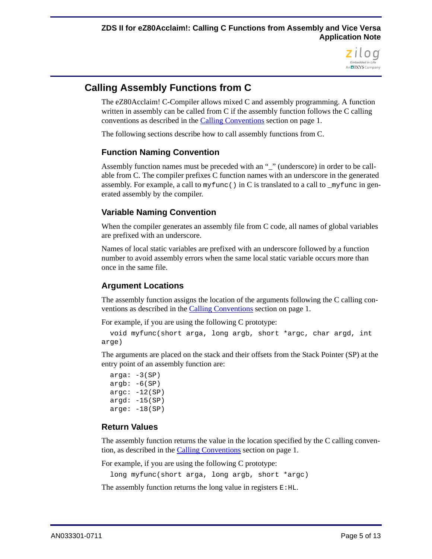

### <span id="page-4-0"></span>**Calling Assembly Functions from C**

The eZ80Acclaim! C-Compiler allows mixed C and assembly programming. A function written in assembly can be called from C if the assembly function follows the C calling conventions as described in [the Calling Conventions section on page 1](#page-0-0).

The following sections describe how to call assembly functions from C.

#### <span id="page-4-1"></span>**Function Naming Convention**

Assembly function names must be preceded with an "\_" (underscore) in order to be callable from C. The compiler prefixes C function names with an underscore in the generated assembly. For example, a call to myfunc() in C is translated to a call to \_myfunc in generated assembly by the compiler.

#### **Variable Naming Convention**

When the compiler generates an assembly file from C code, all names of global variables are prefixed with an underscore.

Names of local static variables are prefixed with an underscore followed by a function number to avoid assembly errors when the same local static variable occurs more than once in the same file.

#### <span id="page-4-2"></span>**Argument Locations**

The assembly function assigns the location of the arguments following the C calling conventions as described in [the Calling Conventions section on page 1](#page-0-0).

For example, if you are using the following C prototype:

```
void myfunc(short arga, long argb, short *argc, char argd, int 
arge)
```
The arguments are placed on the stack and their offsets from the Stack Pointer (SP) at the entry point of an assembly function are:

```
arga: -3(SP)
argb: -6(SP)\arg c: -12(SP)argd: -15(SP)\text{arge}: -18(SP)
```
#### **Return Values**

The assembly function returns the value in the location specified by the C calling convention, as described in [the Calling Conventions section on page 1.](#page-0-0)

For example, if you are using the following C prototype:

long myfunc(short arga, long argb, short \*argc)

The assembly function returns the long value in registers  $E:HL$ .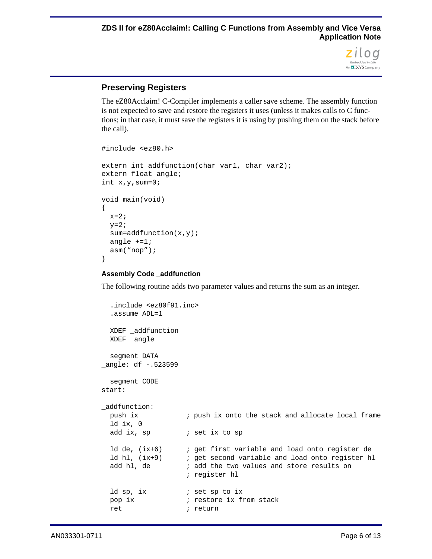

#### **Preserving Registers**

The eZ80Acclaim! C-Compiler implements a caller save scheme. The assembly function is not expected to save and restore the registers it uses (unless it makes calls to C functions; in that case, it must save the registers it is using by pushing them on the stack before the call).

```
#include <ez80.h>
extern int addfunction(char var1, char var2);
extern float angle;
int x,y,sum=0;
void main(void)
{
 x=2;y=2;sum=addfunction(x,y);
 angle +=1;
  asm("nop");
}
```
#### **Assembly Code \_addfunction**

The following routine adds two parameter values and returns the sum as an integer.

```
.include <ez80f91.inc>
  .assume ADL=1
  XDEF _addfunction
  XDEF _angle
  segment DATA
_angle: df -.523599
  segment CODE
start:
_addfunction:
  push ix ; push ix onto the stack and allocate local frame
  ld ix, 0
  add ix, sp \qquad ; set ix to sp
  ld de, (ix+6) ; get first variable and load onto register de
  ld hl, (ix+9) ; get second variable and load onto register hl
  add hl, de \qquad i add the two values and store results on
                    ; register hl
  ld sp, ix \qquad ; set sp to ix
  pop ix \qquad \qquad ; restore ix from stack
  ret i return
```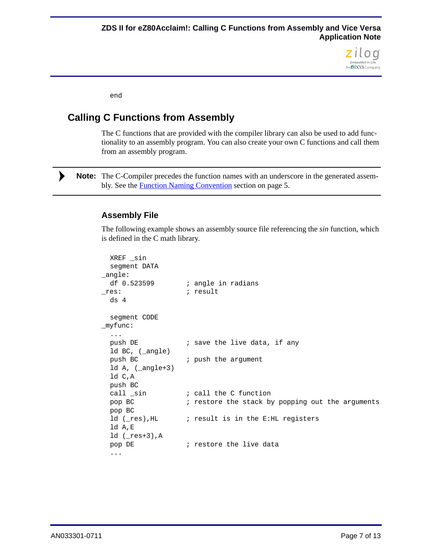

end

### <span id="page-6-0"></span>**Calling C Functions from Assembly**

The C functions that are provided with the compiler library can also be used to add functionality to an assembly program. You can also create your own C functions and call them from an assembly program.

Note: The C-Compiler precedes the function names with an underscore in the generated assembly. See the **Function Naming Convention** section on page 5.

#### **Assembly File**

The following example shows an assembly source file referencing the *sin* function, which is defined in the C math library.

```
XREF _sin
  segment DATA
_angle:
  df 0.523599 ; angle in radians
res: \qquad \qquad ; \qquad result
  ds 4
  segment CODE
_myfunc:
  ...
  push DE \qquad i save the live data, if any
  ld BC, (_angle)
  push BC ; push the argument
  ld A, (_angle+3)
  ld C,A
  push BC
  call sin \qquad ; call the C function
  pop BC ; restore the stack by popping out the arguments
  pop BC
  ld (_res), HL ; result is in the E:HL registers
  ld A,E
  ld (res+3), A
  pop DE \qquad \qquad ; restore the live data
  ...
```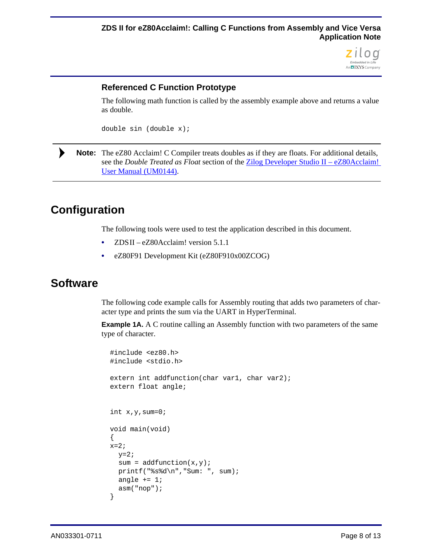

#### **Referenced C Function Prototype**

The following math function is called by the assembly example above and returns a value as double.

double sin (double x);

Note: The eZ80 Acclaim! C Compiler treats doubles as if they are floats. For additional details, see the *Double Treated as Float* section of the [Zilog Developer Studio II – eZ80Acclaim!](http://www.zilog.com/docs/devtools/um0144.pdf)  [User Manual \(UM0144\).](http://www.zilog.com/docs/devtools/um0144.pdf)

# **Configuration**

The following tools were used to test the application described in this document.

- **•** ZDS II eZ80Acclaim! version 5.1.1
- **•** eZ80F91 Development Kit (eZ80F910x00ZCOG)

### **Software**

The following code example calls for Assembly routing that adds two parameters of character type and prints the sum via the UART in HyperTerminal.

**Example 1A.** A C routine calling an Assembly function with two parameters of the same type of character.

```
#include <ez80.h>
#include <stdio.h>
extern int addfunction(char var1, char var2);
extern float angle;
int x,y,sum=0;
void main(void)
{
x=2;y=2;sum = addfunction(x,y);
  printf("%s%d\n","Sum: ", sum);
  angle += 1;asm("nop");
}
```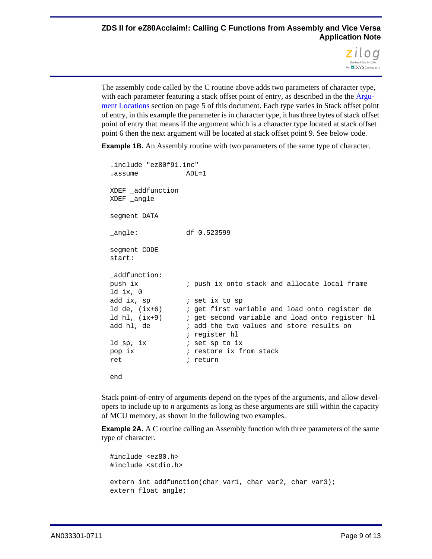

The assembly code called by the C routine above adds two parameters of character type, with each parameter featuring a stack offset point of entry, as described in the [the Argu](#page-4-2)[ment Locations section on page 5](#page-4-2) of this document. Each type varies in Stack offset point of entry, in this example the parameter is in character type, it has three bytes of stack offset point of entry that means if the argument which is a character type located at stack offset point 6 then the next argument will be located at stack offset point 9. See below code.

**Example 1B.** An Assembly routine with two parameters of the same type of character.

```
.include "ez80f91.inc"
.assume ADL=1
XDEF _addfunction
XDEF angle
segment DATA
_angle: df 0.523599
segment CODE
start:
_addfunction:
push ix \qquad ; push ix onto stack and allocate local frame
ld ix, 0
add ix, sp            ; set ix to sp
ld de, (ix+6) ; get first variable and load onto register de
ld hl, (ix+9) ; get second variable and load onto register hl
add hl, de \qquad i add the two values and store results on
                ; register hl
ld sp, ix i set sp to ix
pop ix \qquad \qquad ; restore ix from stack
ret ; return
end
```
Stack point-of-entry of arguments depend on the types of the arguments, and allow developers to include up to *n* arguments as long as these arguments are still within the capacity of MCU memory, as shown in the following two examples.

**Example 2A.** A C routine calling an Assembly function with three parameters of the same type of character.

```
#include <ez80.h>
#include <stdio.h>
extern int addfunction(char var1, char var2, char var3);
extern float angle;
```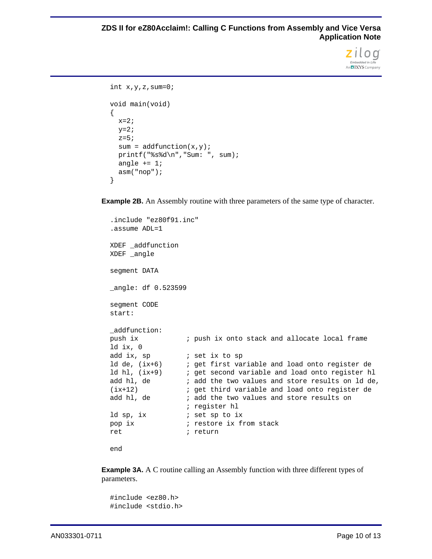

```
int x,y,z, sum=0;
void main(void)
{
 x=2;y=2;z=5;sum = addfunction(x,y);
 printf("%s%d\n","Sum: ", sum);
  angle += 1;asm("nop");
}
```
**Example 2B.** An Assembly routine with three parameters of the same type of character.

```
.include "ez80f91.inc"
.assume ADL=1
XDEF _addfunction
XDEF _angle
segment DATA
_angle: df 0.523599
segment CODE
start:
_addfunction:
push ix ; push ix onto stack and allocate local frame
ld ix, 0
add ix, sp \qquad \qquad ; set ix to sp
ld de, (ix+6) ; get first variable and load onto register de
ld hl, (ix+9) ; get second variable and load onto register hl
add hl, de \qquad i add the two values and store results on ld de,
(ix+12) ; get third variable and load onto register de
add hl, de \qquad i add the two values and store results on
                  ; register hl
ld sp, ix \qquad ; set sp to ix
pop ix \qquad \qquad ; restore ix from stack
ret \qquad \qquad ; return
end
```
**Example 3A.** A C routine calling an Assembly function with three different types of parameters.

```
#include <ez80.h>
#include <stdio.h>
```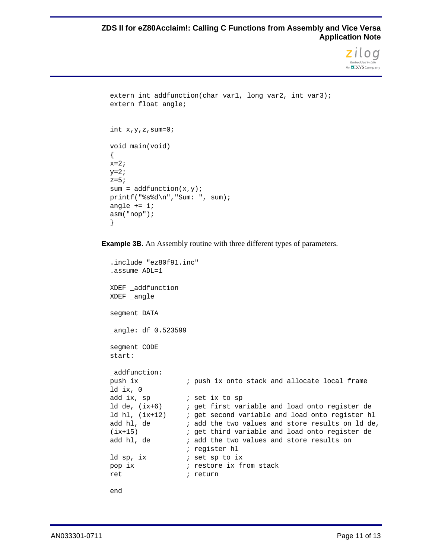#### **ZDS II for eZ80Acclaim!: Calling C Functions from Assembly and Vice Versa Application Note**



```
extern int addfunction(char var1, long var2, int var3);
extern float angle;
int x, y, z, sum=0;
void main(void)
{
x=2;y=2;z=5;sum = addfunction(x,y);printf("%s%d\n","Sum: ", sum);
angle += 1;asm("nop");
}
```
**Example 3B.** An Assembly routine with three different types of parameters.

```
.include "ez80f91.inc"
.assume ADL=1
XDEF _addfunction
XDEF angle
segment DATA
_angle: df 0.523599
segment CODE
start:
_addfunction:
push ix ; push ix onto stack and allocate local frame
ld ix, 0
add ix, sp \qquad \qquad ; set ix to sp
ld de, (ix+6) ; get first variable and load onto register de
ld hl, (ix+12) ; get second variable and load onto register hl
add hl, de \qquad i add the two values and store results on ld de,
(ix+15) ; get third variable and load onto register de
add hl, de \qquad i add the two values and store results on
                 ; register hl
ld sp, ix \qquad ; set sp to ix
pop ix \qquad \qquad ; restore ix from stack
ret i return
end
```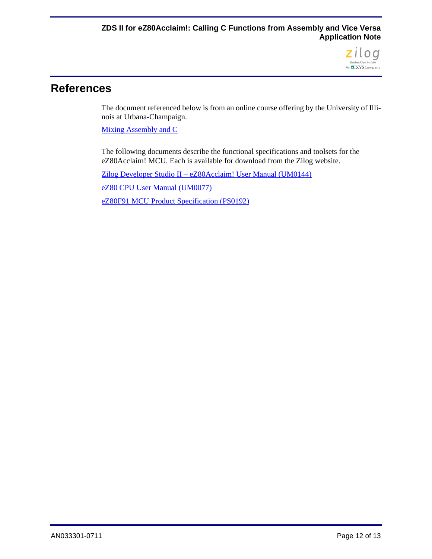

### **References**

The document referenced below is from an online course offering by the University of Illinois at Urbana-Champaign.

[Mixing Assembly and C](http://courses.engr.illinois.edu/ece390/books/labmanual/c-prog-mixing.html)

The following documents describe the functional specifications and toolsets for the eZ80Acclaim! MCU. Each is available for download from the Zilog website.

[Zilog Developer Studio II – eZ80Acclaim! User Manual \(UM0144\)](http://www.zilog.com/docs/devtools/um0144.pdf)

[eZ80 CPU User Manual \(UM0077\)](http://www.zilog.com/docs/um0077.pdf)

[eZ80F91 MCU Product Specification \(PS0192\)](http://www.zilog.com/docs/ez80acclaim/ps0192.pdf)